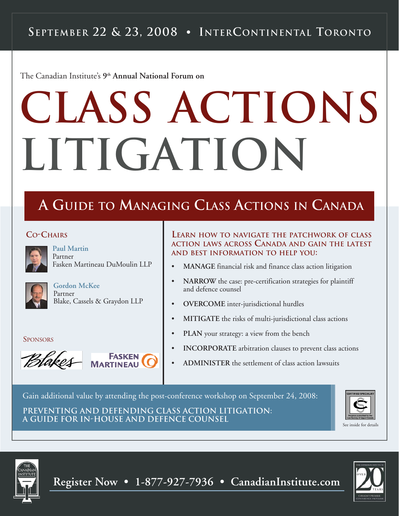The Canadian Institute's **9th Annual National Forum on**

# **LITIGATION CLASS ACTIONS**

### **A GUIDE TO MANAGING CLASS ACTIONS IN CANADA**

#### **CO-CHAIRS**



**Paul Martin** Partner Fasken Martineau DuMoulin LLP



**Gordon McKee** Partner Blake, Cassels & Graydon LLP

**SPONSORS** 





#### **LEARN HOW TO NAVIGATE THE PATCHWORK OF CLASS ACTION LAWS ACROSS CANADA AND GAIN THE LATEST AND BEST INFORMATION TO HELP YOU:**

- **MANAGE** financial risk and finance class action litigation
- **NARROW** the case: pre-certification strategies for plaintiff and defence counsel
- **OVERCOME** inter-jurisdictional hurdles
- **MITIGATE** the risks of multi-jurisdictional class actions
- PLAN your strategy: a view from the bench
- **INCORPORATE** arbitration clauses to prevent class actions
- **ADMINISTER** the settlement of class action lawsuits

Gain additional value by attending the post-conference workshop on September 24, 2008:

**Preventing and Defending Class Action Litigation: A Guide for In-House and Defence Counsel**





**Register Now • 1-877-927-7936 • CanadianInstitute.com**

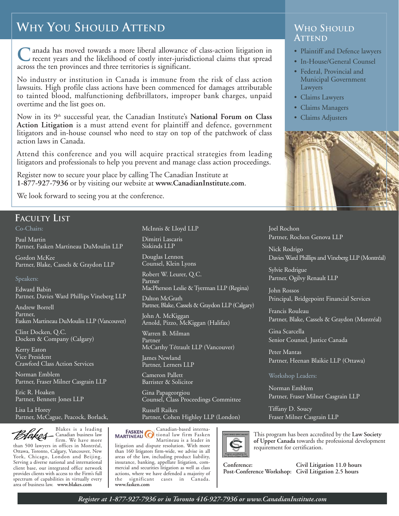### **WHY YOU SHOULD ATTEND**

**C**anada has moved towards a more liberal allowance of class-action litigation in recent years and the likelihood of costly inter-jurisdictional claims that spread across the ten provinces and three territories is significant.

No industry or institution in Canada is immune from the risk of class action lawsuits. High profile class actions have been commenced for damages attributable to tainted blood, malfunctioning defibrillators, improper bank charges, unpaid overtime and the list goes on.

Now in its 9th successful year, the Canadian Institute's **National Forum on Class Action Litigation** is a must attend event for plaintiff and defence, government litigators and in-house counsel who need to stay on top of the patchwork of class action laws in Canada.

Attend this conference and you will acquire practical strategies from leading litigators and professionals to help you prevent and manage class action proceedings.

Register now to secure your place by calling The Canadian Institute at **1-877-927-7936** or by visiting our website at **www.CanadianInstitute.com**.

We look forward to seeing you at the conference.

#### **FACULTY LIST**

Co-Chairs:

Paul Martin Partner, Fasken Martineau DuMoulin LLP

Gordon McKee Partner, Blake, Cassels & Graydon LLP

#### Speakers:

Edward Babin Partner, Davies Ward Phillips Vineberg LLP

Andrew Borrell Partner, Fasken Martineau DuMoulin LLP (Vancouver)

Clint Docken, Q.C. Docken & Company (Calgary)

Kerry Eaton Vice President Crawford Class Action Services

Norman Emblem Partner, Fraser Milner Casgrain LLP

Eric R. Hoaken Partner, Bennett Jones LLP

Lisa La Horey Partner, McCague, Peacock, Borlack,

Blakes is a leading **Thakes** Canadian business law firm. We have more than 500 lawyers in offices in Montréal, Ottawa, Toronto, Calgary, Vancouver, New York, Chicago, London and Beijing. Serving a diverse national and international client base, our integrated office network provides clients with access to the Firm's full spectrum of capabilities in virtually every area of business law. **www.blakes.com**

McInnis & Lloyd LLP

Dimitri Lascaris Siskinds LLP

Douglas Lennox Counsel, Klein Lyons

Robert W. Leurer, Q.C. Partner MacPherson Leslie & Tyerman LLP (Regina)

Dalton McGrath Partner, Blake, Cassels & Graydon LLP (Calgary)

John A. McKiggan Arnold, Pizzo, McKiggan (Halifax)

Warren B. Milman Partner McCarthy Tétrault LLP (Vancouver)

James Newland Partner, Lerners LLP

Cameron Pallett Barrister & Solicitor

Gina Papageorgiou Counsel, Class Proceedings Committee

Russell Raikes Partner, Cohen Highley LLP (London)

Canadian-based interna-**FASKEN** Canadian-based interna-<br>**MARTINEAU** tional law firm Fasken Martineau is a leader in litigation and dispute resolution. With more than 160 litigators firm-wide, we advise in all areas of the law, including product liability, insurance, banking, appellate litigation, commercial and securities litigation as well as class actions, where we have defended a majority of<br>the significant cases in Canada. significant cases in Canada. **www.fasken.com**

#### **WHO SHOULD ATTEND**

- Plaintiff and Defence lawyers
- In-House/General Counsel
- Federal, Provincial and Municipal Government Lawyers
- Claims Lawyers
- Claims Managers
- Claims Adjusters



Joel Rochon Partner, Rochon Genova LLP

Nick Rodrigo Davies Ward Phillips and Vineberg LLP (Montréal)

Sylvie Rodrigue Partner, Ogilvy Renault LLP

John Rossos Principal, Bridgepoint Financial Services

Francis Rouleau Partner, Blake, Cassels & Graydon (Montréal)

Gina Scarcella Senior Counsel, Justice Canada

Peter Mantas Partner, Heenan Blaikie LLP (Ottawa)

#### Workshop Leaders:

Norman Emblem Partner, Fraser Milner Casgrain LLP

Tiffany D. Soucy Fraser Milner Casgrain LLP



This program has been accredited by the **Law Society of Upper Canada** towards the professional development requirement for certification.

**Conference: Civil Litigation 11.0 hours Post-Conference Workshop: Civil Litigation 2.5 hours**

*Register at 1-877-927-7936 or in Toronto 416-927-7936 or www.CanadianInstitute.com*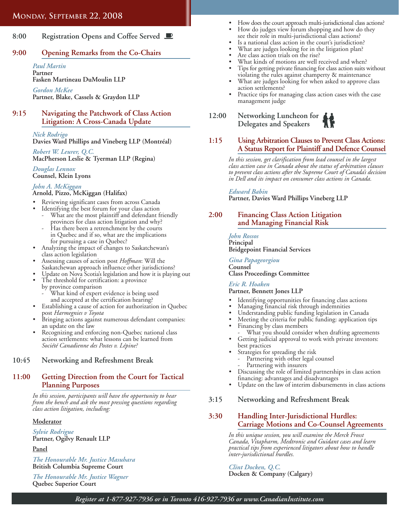#### **MONDAY, SEPTEMBER 22, 2008**

#### 8:00 Registration Opens and Coffee Served **D**

#### **9:00 Opening Remarks from the Co-Chairs**

*Paul Martin* **Partner Fasken Martineau DuMoulin LLP** *Gordon McKee*

**Partner, Blake, Cassels & Graydon LLP**

#### **9:15 Navigating the Patchwork of Class Action Litigation: A Cross-Canada Update**

#### *Nick Rodrigo*

**Davies Ward Phillips and Vineberg LLP (Montréal)**

*Robert W. Leurer, Q.C.* **MacPherson Leslie & Tyerman LLP (Regina)**

*Douglas Lennox*

**Counsel, Klein Lyons**

#### *John A. McKiggan*  **Arnold, Pizzo, McKiggan (Halifax)**

- Reviewing significant cases from across Canada
- Identifying the best forum for your class action
	- What are the most plaintiff and defendant friendly provinces for class action litigation and why?
	- Has there been a retrenchment by the courts in Quebec and if so, what are the implications for pursuing a case in Quebec?
- Analyzing the impact of changes to Saskatchewan's class action legislation
- Assessing causes of action post *Hoffman*: Will the Saskatchewan approach influence other jurisdictions?
- Update on Nova Scotia's legislation and how it is playing out
- The threshold for certification: a province by province comparison
	- What kind of expert evidence is being used
	- and accepted at the certification hearing?
- Establishing a cause of action for authorization in Quebec post *Harmegnies v Toyota*
- Bringing actions against numerous defendant companies: an update on the law
- Recognizing and enforcing non-Quebec national class action settlements: what lessons can be learned from *Société Canadienne des Postes v. Lépine?*

#### **10:45 Networking and Refreshment Break**

#### **11:00 Getting Direction from the Court for Tactical Planning Purposes**

*In this session, participants will have the opportunity to hear from the bench and ask the most pressing questions regarding class action litigation, including:*

#### **Moderator**

*Sylvie Rodrigue* **Partner, Ogilvy Renault LLP**

**Panel**

*The Honourable Mr. Justice Masuhara* **British Columbia Supreme Court**

*The Honourable Mr. Justice Wagner* **Quebec Superior Court**

- How does the court approach multi-jurisdictional class actions?
- How do judges view forum shopping and how do they see their role in multi-jurisdictional class actions?
- Is a national class action in the court's jurisdiction?
- What are judges looking for in the litigation plan?
- Are class action trials on the rise?
- What kinds of motions are well received and when?
- Tips for getting private financing for class action suits without violating the rules against champerty & maintenance
- What are judges looking for when asked to approve class action settlements?
- Practice tips for managing class action cases with the case management judge
- **12:00 Networking Luncheon for Delegates and Speakers**



#### **1:15 Using Arbitration Clauses to Prevent Class Actions: A Status Report for Plaintiff and Defence Counsel**

*In this session, get clarification from lead counsel in the largest class action case in Canada about the status of arbitration clauses to prevent class actions after the Supreme Court of Canada's decision in Dell and its impact on consumer class actions in Canada.*

*Edward Babin* **Partner, Davies Ward Phillips Vineberg LLP**

#### **2:00 Financing Class Action Litigation and Managing Financial Risk**

*John Rossos*  **Principal Bridgepoint Financial Services**

*Gina Papageorgiou* **Counsel Class Proceedings Committee**

#### *Eric R. Hoaken* **Partner, Bennett Jones LLP**

- Identifying opportunities for financing class actions
- Managing financial risk through indemnities
- Understanding public funding legislation in Canada
- Meeting the criteria for public funding: application tips
- Financing by class members What you should consider when drafting agreements
- Getting judicial approval to work with private investors: best practices
- Strategies for spreading the risk
- Partnering with other legal counsel Partnering with insurers
- Discussing the role of limited partnerships in class action
- financing: advantages and disadvantages Update on the law of interim disbursements in class actions

#### **3:15 Networking and Refreshment Break**

#### **3:30 Handling Inter-Jurisdictional Hurdles: Carriage Motions and Co-Counsel Agreements**

*In this unique session, you will examine the Merck Frosst Canada, Vitapharm, Medtronic and Guidant cases and learn practical tips from experienced litigators about how to handle inter-jurisdictional hurdles.*

*Clint Docken, Q.C.* **Docken & Company (Calgary)**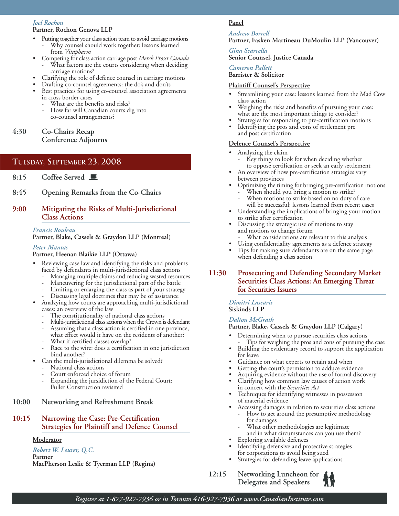#### *Joel Rochon* **Partner, Rochon Genova LLP**

- Putting together your class action team to avoid carriage motions
	- Why counsel should work together: lessons learned from *Vitapharm*
- Competing for class action carriage post *Merck Frosst Canada*
	- What factors are the courts considering when deciding carriage motions?
- Clarifying the role of defence counsel in carriage motions
- Drafting co-counsel agreements: the do's and don'ts Best practices for using co-counsel association agreements
	- in cross border cases What are the benefits and risks?
	- How far will Canadian courts dig into co-counsel arrangements?
- **4:30 Co-Chairs Recap Conference Adjourns**

#### **TUESDAY, SEPTEMBER 23, 2008**

- 8:15 Coffee Served **D**
- **8:45 Opening Remarks from the Co-Chairs**

#### **9:00 Mitigating the Risks of Multi-Jurisdictional Class Actions**

#### *Francis Rouleau*

**Partner, Blake, Cassels & Graydon LLP (Montreal)**

#### *Peter Mantas*

#### **Partner, Heenan Blaikie LLP (Ottawa)**

- Reviewing case law and identifying the risks and problems faced by defendants in multi-jurisdictional class actions
	- Managing multiple claims and reducing wasted resources
	- Maneuvering for the jurisdictional part of the battle
	- Limiting or enlarging the class as part of your strategy
- Discussing legal doctrines that may be of assistance • Analzying how courts are approaching multi-jurisdictional
	- cases: an overview of the law
	- The constitutionality of national class actions
	- Multi-jurisdictional class actions when the Crown is defendant
	- Assuming that a class action is certified in one province, what effect would it have on the residents of another?
	- What if certified classes overlap?
	- Race to the wire: does a certification in one jurisdiction bind another?
- Can the multi-jurisdictional dilemma be solved?
	- National class actions
- Court enforced choice of forum Expanding the jursidiction of the Federal Court: Fuller Construction revisited

#### **10:00 Networking and Refreshment Break**

#### **10:15 Narrowing the Case: Pre-Certification Strategies for Plaintiff and Defence Counsel**

#### **Moderator**

#### *Robert W. Leurer, Q.C.*

**Partner MacPherson Leslie & Tyerman LLP (Regina)**

#### **Panel**

#### *Andrew Borrell* **Partner, Fasken Martineau DuMoulin LLP (Vancouver)**

#### *Gina Scarcella*

**Senior Counsel, Justice Canada**

#### *Cameron Pallett*

**Barrister & Solicitor**

#### **Plaintiff Counsel's Perspective**

- Streamlining your case: lessons learned from the Mad Cow class action
- Weighing the risks and benefits of pursuing your case: what are the most important things to consider?
- Strategies for responding to pre-certification motions
- Identifying the pros and cons of settlement pre and post certification

#### **Defence Counsel's Perspective**

- Analyzing the claim
	- Key things to look for when deciding whether to oppose certification or seek an early settlement
- An overview of how pre-certification strategies vary between provinces
- Optimizing the timing for bringing pre-certification motions When should you bring a motion to strike?
	- When motions to strike based on no duty of care will be successful: lessons learned from recent cases
- Understanding the implications of bringing your motion
- to strike after certification Discussing the strategic use of motions to stay
	- and motions to change forum What considerations are relevant to this analysis
	- Using confidentiality agreements as a defence strategy
- Tips for making sure defendants are on the same page when defending a class action

#### **11:30 Prosecuting and Defending Secondary Market Securities Class Actions: An Emerging Threat for Securities Issuers**

*Dimitri Lascaris* **Siskinds LLP**

#### *Dalton McGrath*

#### **Partner, Blake, Cassels & Graydon LLP (Calgary)**

- Determining when to pursue securities class actions - Tips for weighing the pros and cons of pursuing the case
- Building the evidentiary record to support the application for leave
- Guidance on what experts to retain and when
- Getting the court's permission to adduce evidence
- Acquiring evidence without the use of formal discovery • Clarifying how common law causes of action work
- in concert with the *Securities Act*
- Techniques for identifying witnesses in possession of material evidence
- Accessing damages in relation to securities class actions - How to get around the presumptive methodology for damages
	- What other methodologies are legitimate and in what circumstances can you use them?
- Exploring available defences
- Identifying defensive and protective strategies for corporations to avoid being sued
- Strategies for defending leave applications
- **12:15 Networking Luncheon for Delegates and Speakers**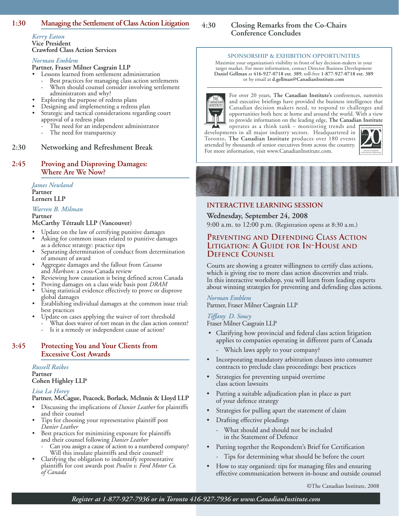#### **1:30 Managing the Settlement of Class Action Litigation**

#### *Kerry Eaton* **Vice President Crawford Class Action Services**

#### *Norman Emblem*

#### **Partner, Fraser Milner Casgrain LLP**

- Lessons learned from settlement administration
	- Best practices for managing class action settlements When should counsel consider involving settlement
- administrators and why?
- Exploring the purpose of redress plans
- Designing and implementing a redress plan Strategic and tactical considerations regarding court
- approval of a redress plan The need for an independent administrator
- The need for transparency

#### **2:30 Networking and Refreshment Break**

#### **2:45 Proving and Disproving Damages: Where Are We Now?**

#### *James Newland* **Partner**

**Lerners LLP** 

#### *Warren B. Milman*

#### **Partner**

#### **McCarthy Tétrault LLP (Vancouver)**

- Update on the law of certifying punitive damages
- Asking for common issues related to punitive damages as a defence strategy: practice tips
- Separating determination of conduct from determination of amount of award
- Aggregate damages and the fallout from *Cassano* and *Markson*: a cross-Canada review
- Reviewing how causation is being defined across Canada
- Proving damages on a class wide basis post *DRAM*
- Using statistical evidence effectively to prove or disprove global damages
- Establishing individual damages at the common issue trial: best practices
- Update on cases applying the waiver of tort threshold
	- What does waiver of tort mean in the class action context?
	- Is it a remedy or independent cause of action?

#### **3:45 Protecting You and Your Clients from Excessive Cost Awards**

#### *Russell Raikes* **Partner**

**Cohen Highley LLP**

#### *Lisa La Horey*

#### **Partner, McCague, Peacock, Borlack, McInnis & Lloyd LLP**

- Discussing the implications of *Danier Leather* for plaintiffs and their counsel
- Tips for choosing your representative plaintiff post *Danier Leather*
- Best practices for minimizing exposure for plaintiffs and their counsel following *Danier Leather*
	- Can you assign a cause of action to a numbered company? Will this insulate plaintiffs and their counsel?
- Clarifying the obligation to indemnify representative plaintiffs for cost awards post *Poulin v. Ford Motor Co. of Canada*

#### **SPONSORSHIP & EXHIBITION OPPORTUNITIES**

Maximize your organization's visibility in front of key decision-makers in your target market. For more information, contact Director Business Development **Daniel Gellman** at **416-927-0718 ext. 389**, toll-free **1-877-927-0718 ext. 389** or by email at **d.gellman@CanadianInstitute.com**



For over 20 years, **The Canadian Institute's** conferences, summits and executive briefings have provided the business intelligence that Canadian decision makers need, to respond to challenges and opportunities both here at home and around the world. With a view to provide information on the leading edge, **The Canadian Institute** operates as a think tank – monitoring trends and

developments in all major industry sectors. Headquartered in Toronto, **The Canadian Institute** produces over 180 events attended by thousands of senior executives from across the country. For more information, visit www.CanadianInstitute.com.





#### **INTERACTIVE LEARNING SESSION**

#### **Wednesday, September 24, 2008**

9:00 a.m. to 12:00 p.m. (Registration opens at 8:30 a.m.)

#### **PREVENTING AND DEFENDING CLASS ACTION LITIGATION: A GUIDE FOR IN-HOUSE AND DEFENCE COUNSEL**

Courts are showing a greater willingness to certify class actions, which is giving rise to more class action discoveries and trials. In this interactive workshop, you will learn from leading experts about winning strategies for preventing and defending class actions.

#### *Norman Emblem*

Partner, Fraser Milner Casgrain LLP

#### *Tiffany D. Soucy*

Fraser Milner Casgrain LLP

- Clarifying how provincial and federal class action litigation applies to companies operating in different parts of Canada
	- Which laws apply to your company?
- Incorporating mandatory arbitration clauses into consumer contracts to preclude class proceedings: best practices
- Strategies for preventing unpaid overtime class action lawsuits
- Putting a suitable adjudication plan in place as part of your defence strategy
- Strategies for pulling apart the statement of claim
- Drafting effective pleadings
	- What should and should not be included in the Statement of Defence
- Putting together the Respondent's Brief for Certification
	- Tips for determining what should be before the court
- How to stay organized: tips for managing files and ensuring effective communication between in-house and outside counsel

©The Canadian Institute, 2008